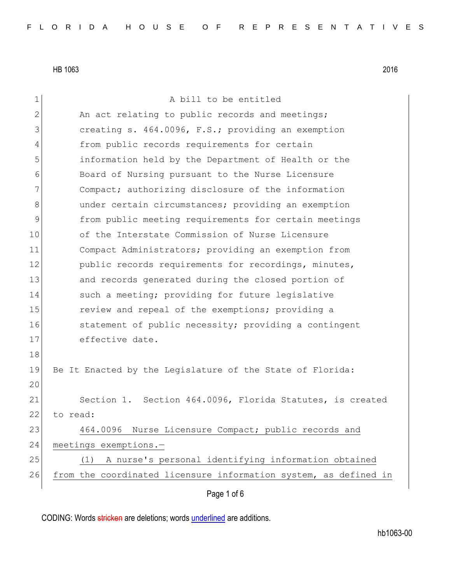| 1            | A bill to be entitled                                            |
|--------------|------------------------------------------------------------------|
| $\mathbf{2}$ | An act relating to public records and meetings;                  |
| 3            | creating s. 464.0096, F.S.; providing an exemption               |
| 4            |                                                                  |
|              | from public records requirements for certain                     |
| 5            | information held by the Department of Health or the              |
| 6            | Board of Nursing pursuant to the Nurse Licensure                 |
| 7            | Compact; authorizing disclosure of the information               |
| 8            | under certain circumstances; providing an exemption              |
| 9            | from public meeting requirements for certain meetings            |
| 10           | of the Interstate Commission of Nurse Licensure                  |
| 11           | Compact Administrators; providing an exemption from              |
| 12           | public records requirements for recordings, minutes,             |
| 13           | and records generated during the closed portion of               |
| 14           | such a meeting; providing for future legislative                 |
| 15           | review and repeal of the exemptions; providing a                 |
| 16           | statement of public necessity; providing a contingent            |
| 17           | effective date.                                                  |
| 18           |                                                                  |
| 19           | Be It Enacted by the Legislature of the State of Florida:        |
| 20           |                                                                  |
| 21           | Section 1. Section 464.0096, Florida Statutes, is created        |
| 22           | to read:                                                         |
| 23           | 464.0096 Nurse Licensure Compact; public records and             |
| 24           | meetings exemptions.-                                            |
|              |                                                                  |
| 25           | (1) A nurse's personal identifying information obtained          |
| 26           | from the coordinated licensure information system, as defined in |
|              | Page 1 of 6                                                      |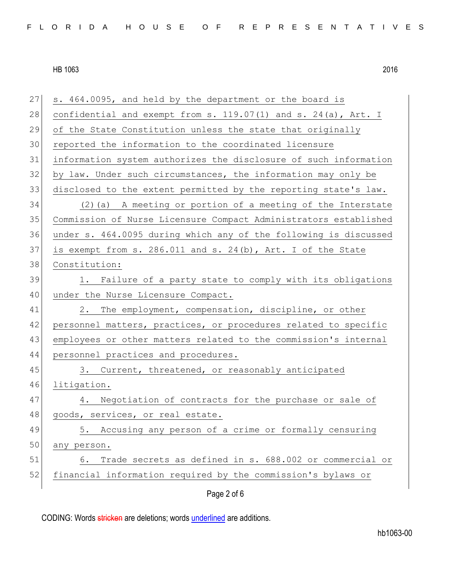| 27 | s. 464.0095, and held by the department or the board is             |
|----|---------------------------------------------------------------------|
| 28 | confidential and exempt from s. $119.07(1)$ and s. $24(a)$ , Art. I |
| 29 | of the State Constitution unless the state that originally          |
| 30 | reported the information to the coordinated licensure               |
| 31 | information system authorizes the disclosure of such information    |
| 32 | by law. Under such circumstances, the information may only be       |
| 33 | disclosed to the extent permitted by the reporting state's law.     |
| 34 | $(2)$ (a) A meeting or portion of a meeting of the Interstate       |
| 35 | Commission of Nurse Licensure Compact Administrators established    |
| 36 | under s. 464.0095 during which any of the following is discussed    |
| 37 | is exempt from s. 286.011 and s. 24(b), Art. I of the State         |
| 38 | Constitution:                                                       |
| 39 | 1. Failure of a party state to comply with its obligations          |
| 40 | under the Nurse Licensure Compact.                                  |
| 41 | 2. The employment, compensation, discipline, or other               |
| 42 | personnel matters, practices, or procedures related to specific     |
| 43 | employees or other matters related to the commission's internal     |
| 44 | personnel practices and procedures.                                 |
| 45 | 3. Current, threatened, or reasonably anticipated                   |
| 46 | litigation.                                                         |
| 47 | 4. Negotiation of contracts for the purchase or sale of             |
| 48 | goods, services, or real estate.                                    |
| 49 | 5. Accusing any person of a crime or formally censuring             |
| 50 | any person.                                                         |
| 51 | Trade secrets as defined in s. 688.002 or commercial or<br>6.       |
| 52 | financial information required by the commission's bylaws or        |
|    | Page 2 of 6                                                         |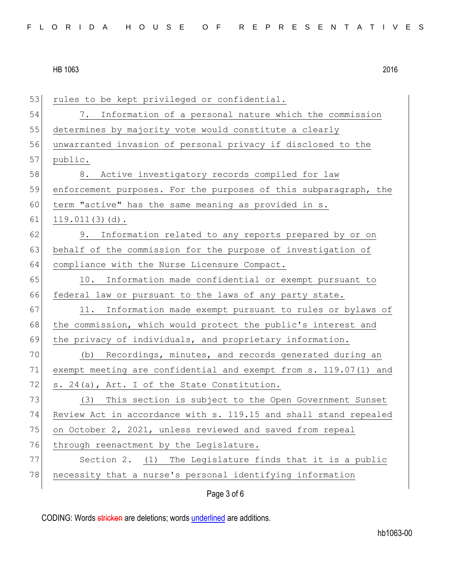| 53 | rules to be kept privileged or confidential.                     |
|----|------------------------------------------------------------------|
| 54 | Information of a personal nature which the commission<br>7.      |
| 55 | determines by majority vote would constitute a clearly           |
| 56 | unwarranted invasion of personal privacy if disclosed to the     |
| 57 | public.                                                          |
| 58 | Active investigatory records compiled for law<br>8.              |
| 59 | enforcement purposes. For the purposes of this subparagraph, the |
| 60 | term "active" has the same meaning as provided in s.             |
| 61 | $119.011(3)(d)$ .                                                |
| 62 | 9. Information related to any reports prepared by or on          |
| 63 | behalf of the commission for the purpose of investigation of     |
| 64 | compliance with the Nurse Licensure Compact.                     |
| 65 | 10. Information made confidential or exempt pursuant to          |
| 66 | federal law or pursuant to the laws of any party state.          |
| 67 | Information made exempt pursuant to rules or bylaws of<br>11.    |
| 68 | the commission, which would protect the public's interest and    |
| 69 | the privacy of individuals, and proprietary information.         |
| 70 | (b) Recordings, minutes, and records generated during an         |
| 71 | exempt meeting are confidential and exempt from s. 119.07(1) and |
| 72 | s. 24(a), Art. I of the State Constitution.                      |
| 73 | This section is subject to the Open Government Sunset<br>(3)     |
| 74 | Review Act in accordance with s. 119.15 and shall stand repealed |
| 75 | on October 2, 2021, unless reviewed and saved from repeal        |
| 76 | through reenactment by the Legislature.                          |
| 77 | Section 2. (1) The Legislature finds that it is a public         |
| 78 | necessity that a nurse's personal identifying information        |
|    | Page 3 of 6                                                      |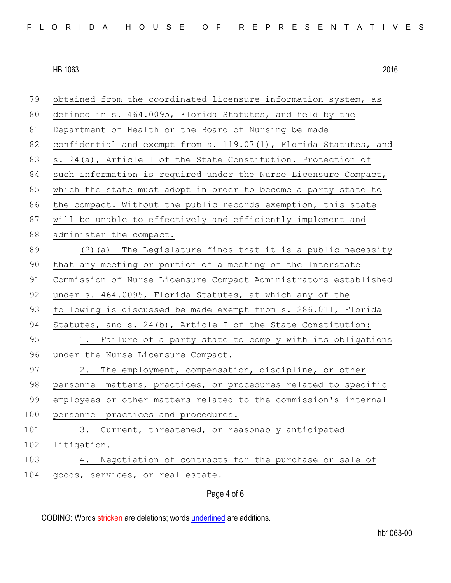| 79  | obtained from the coordinated licensure information system, as   |
|-----|------------------------------------------------------------------|
| 80  | defined in s. 464.0095, Florida Statutes, and held by the        |
| 81  | Department of Health or the Board of Nursing be made             |
| 82  | confidential and exempt from s. 119.07(1), Florida Statutes, and |
| 83  | s. 24(a), Article I of the State Constitution. Protection of     |
| 84  | such information is required under the Nurse Licensure Compact,  |
| 85  | which the state must adopt in order to become a party state to   |
| 86  | the compact. Without the public records exemption, this state    |
| 87  | will be unable to effectively and efficiently implement and      |
| 88  | administer the compact.                                          |
| 89  | (2) (a) The Legislature finds that it is a public necessity      |
| 90  | that any meeting or portion of a meeting of the Interstate       |
| 91  | Commission of Nurse Licensure Compact Administrators established |
| 92  | under s. 464.0095, Florida Statutes, at which any of the         |
| 93  | following is discussed be made exempt from s. 286.011, Florida   |
| 94  | Statutes, and s. $24(b)$ , Article I of the State Constitution:  |
| 95  | 1. Failure of a party state to comply with its obligations       |
| 96  | under the Nurse Licensure Compact.                               |
| 97  | 2. The employment, compensation, discipline, or other            |
| 98  | personnel matters, practices, or procedures related to specific  |
| 99  | employees or other matters related to the commission's internal  |
| 100 | personnel practices and procedures.                              |
| 101 | Current, threatened, or reasonably anticipated<br>3.             |
| 102 | litigation.                                                      |
| 103 | Negotiation of contracts for the purchase or sale of<br>4.       |
| 104 | goods, services, or real estate.                                 |
|     |                                                                  |

Page 4 of 6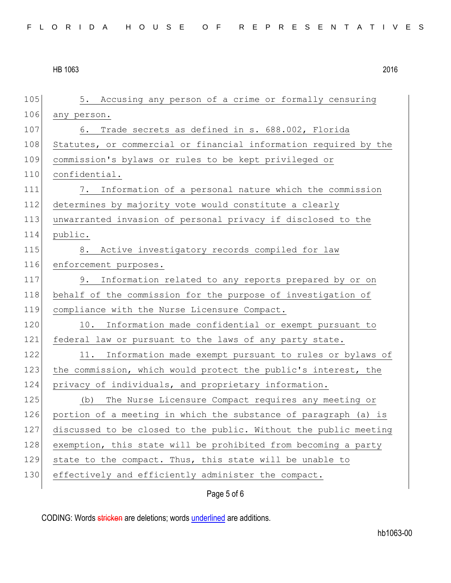105 5. Accusing any person of a crime or formally censuring 106 any person. 107 6. Trade secrets as defined in s. 688.002, Florida 108 Statutes, or commercial or financial information required by the 109 commission's bylaws or rules to be kept privileged or 110 confidential. 111 7. Information of a personal nature which the commission 112 determines by majority vote would constitute a clearly 113 unwarranted invasion of personal privacy if disclosed to the 114 public. 115 8. Active investigatory records compiled for law 116 enforcement purposes. 117 9. Information related to any reports prepared by or on 118 behalf of the commission for the purpose of investigation of 119 compliance with the Nurse Licensure Compact. 120 10. Information made confidential or exempt pursuant to 121 federal law or pursuant to the laws of any party state. 122 11. Information made exempt pursuant to rules or bylaws of 123 the commission, which would protect the public's interest, the 124 privacy of individuals, and proprietary information. 125 (b) The Nurse Licensure Compact requires any meeting or 126 portion of a meeting in which the substance of paragraph (a) is 127 discussed to be closed to the public. Without the public meeting 128 exemption, this state will be prohibited from becoming a party 129 state to the compact. Thus, this state will be unable to 130 effectively and efficiently administer the compact.

Page 5 of 6